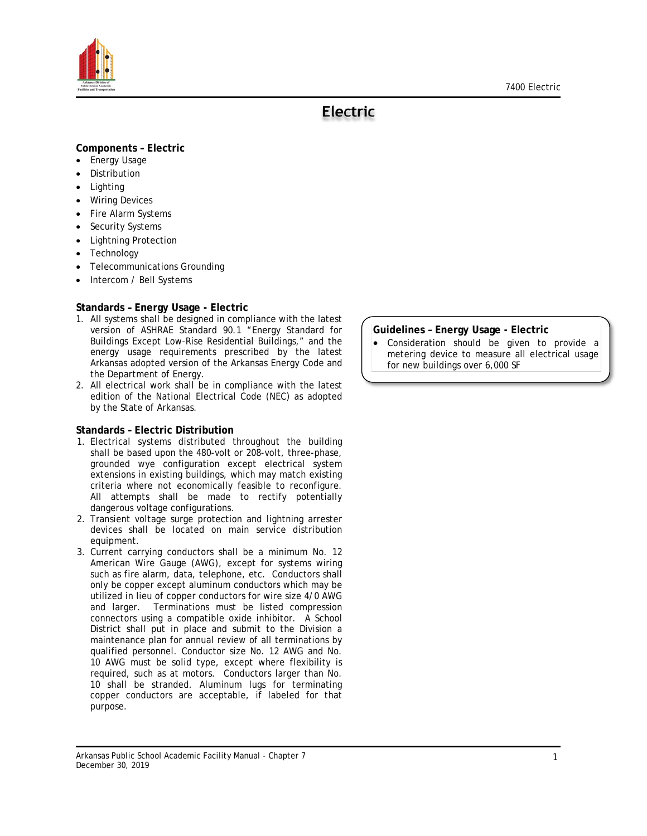



# **Electric**

## **Components – Electric**

- Energy Usage
- **Distribution**
- Lighting
- **Wiring Devices**
- Fire Alarm Systems
- Security Systems
- Lightning Protection
- **Technology**
- Telecommunications Grounding
- Intercom / Bell Systems

## **Standards – Energy Usage - Electric**

- 1. All systems shall be designed in compliance with the latest version of ASHRAE Standard 90.1 "Energy Standard for Buildings Except Low-Rise Residential Buildings," and the energy usage requirements prescribed by the latest Arkansas adopted version of the Arkansas Energy Code and the Department of Energy.
- 2. All electrical work shall be in compliance with the latest edition of the National Electrical Code (NEC) as adopted by the State of Arkansas.

## **Standards – Electric Distribution**

- 1. Electrical systems distributed throughout the building shall be based upon the 480-volt or 208-volt, three-phase, grounded wye configuration except electrical system extensions in existing buildings, which may match existing criteria where not economically feasible to reconfigure. All attempts shall be made to rectify potentially dangerous voltage configurations.
- 2. Transient voltage surge protection and lightning arrester devices shall be located on main service distribution equipment.
- 3. Current carrying conductors shall be a minimum No. 12 American Wire Gauge (AWG), except for systems wiring such as fire alarm, data, telephone, etc. Conductors shall only be copper except aluminum conductors which may be utilized in lieu of copper conductors for wire size 4/0 AWG and larger. Terminations must be listed compression connectors using a compatible oxide inhibitor. A School District shall put in place and submit to the Division a maintenance plan for annual review of all terminations by qualified personnel. Conductor size No. 12 AWG and No. 10 AWG must be solid type, except where flexibility is required, such as at motors. Conductors larger than No. 10 shall be stranded. Aluminum lugs for terminating copper conductors are acceptable, if labeled for that purpose.

#### **Guidelines – Energy Usage - Electric**

• Consideration should be given to provide a metering device to measure all electrical usage for new buildings over 6,000 SF

<u>T in de la provincia de la p</u>

Arkansas Public School Academic Facility Manual - Chapter 7 December 30, 2019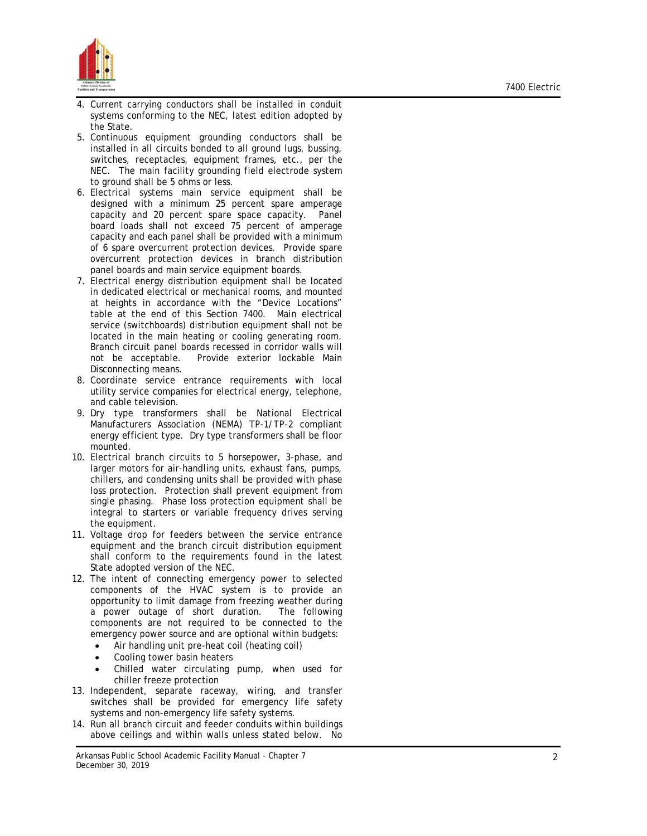

- 4. Current carrying conductors shall be installed in conduit systems conforming to the NEC, latest edition adopted by the State .
- 5. Continuous equipment grounding conductors shall be installed in all circuits bonded to all ground lugs, bussing, switches, receptacles, equipment frames, etc., per the NEC. The main facility grounding field electrode system to ground shall be 5 ohms or less.
- 6. Electrical systems main service equipment shall be designed with a minimum 25 percent spare amperage capacity and 20 percent spare space capacity. Panel board loads shall not exceed 75 percent of amperage capacity and each panel shall be provided with a minimum of 6 spare overcurrent protection devices. Provide spare overcurrent protection devices in branch distribution panel boards and main service equipment boards.
- 7. Electrical energy distribution equipment shall be located in dedicated electrical or mechanical rooms, and mounted at heights in accordance with the "Device Locations" table at the end of this Section 7400. Main electrical service (switchboards) distribution equipment shall not be located in the main heating or cooling generating room. Branch circuit panel boards recessed in corridor walls will not be acceptable. Provide exterior lockable Main Disconnecting means.
- 8. Coordinate service entrance requirements with local utility service companies for electrical energy, telephone, and cable television .
- 9. Dry type transformers shall be National Electrical Manufacturers Association (NEMA) TP-1/TP-2 compliant energy efficient type. Dry type transformers shall be floor mounted .
- 10. Electrical branch circuits to 5 horsepower, 3-phase, and larger motors for air -handling units, exhaust fans, pumps, chillers, and condensing units shall be provided with phase loss protection. Protection shall prevent equipment from single phasing. Phase loss protection equipment shall be integral to starters or variable frequency drives serving the equipment.
- 11. Voltage drop for feeders between the service entrance equipment and the branch circuit distribution equipment shall conform to the requirements found in the latest State adopted version of the NEC.
- 12. The intent of connecting emergency power to selected componen ts of the HVAC system is to provide an opportunity to limit damage from freezing weather during a power outage of short duration. The following components are not required to be connected to the emergency power source and are optional within budgets:
	- Air handling unit pre-heat coil (heating coil)
	- Cooling tower basin heaters
	- Chilled water circulating pump, when used for chiller freeze protection
- 13. Independent, separate raceway, wiring, and transfer switches shall be provided for emergency life safety systems and non -emergency life safety systems.
- 14. Run all branch circuit and feeder conduits within buildings above ceilings and within walls unless stated below. No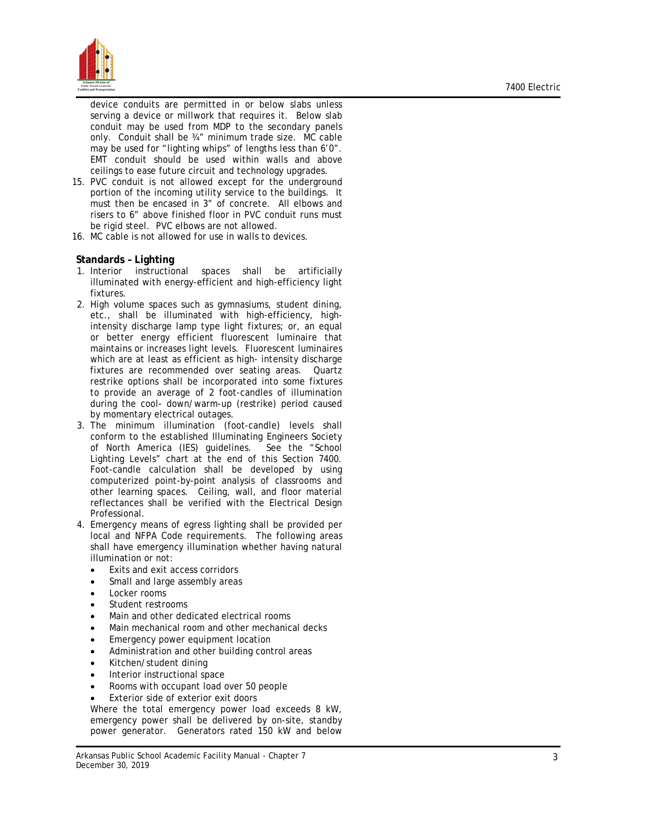

device conduits are permitted in or below slabs unless serving a device or millwork that requires it. Below slab conduit may be used from MDP to the secondary panels only. Conduit shall be ¾" minimum trade size. MC cable may be used for "lighting whips" of lengths less than 6'0". EMT conduit should be used within walls and above ceilings to ease future circuit and technology upgrades.

- 15. PVC conduit is not allowed except for the underground portion of the incoming utility service to the buildings. It must then be encased in 3" of concrete. All elbows and risers to 6" above finished floor in PVC conduit runs must be rigid steel. PVC elbows are not allowed.
- 16. MC cable is not allowed for use in walls to devices.

#### **Standards – Lighting**

- 1. Interior instructional spaces shall be artificially illuminated with energy-efficient and high -efficiency light fixtures.
- 2. High volume spaces such as gymnasiums, student dining, etc., shall be illuminated with high -efficiency, high intensity discharge lamp type light fixtures; or, an equal or better energy efficient fluorescent luminaire that maintains or increases light levels. Fluorescent luminaires which are at least as efficient as high - intensity discharge fixtures are recommended over seating areas. Quartz restrike options shall be incorporated into some fixtures to provide an average of 2 foot -candles of illumination during the cool - down/warm-up (restrike) period caused by momentary electrical outages.
- 3. The minimum illumination (foot -candle) levels shall conform to the established Illuminating Engineers Society of North America (IES) guidelines. See the "School Lighting Levels" chart at the end of this Section 7400. Foot -candle calculation shall be developed by using computerized point -by-point analysis of classrooms and other learning spaces. Ceiling, wall, and floor material reflectances shall be verified with the Electrical Design Professional.
- 4. Emergency means of egress lighting shall be provided per local and NFPA Code requirements. The following areas shall have emergency illumination whether having natural illumination or not:
	- Exits and exit access corridors
	- Small and large assembly areas
	- Locker rooms
	- Student restrooms
	- Main and other dedicated electrical rooms
	- Main mechanical room and other mechanical decks
	- Emergency power equipment location
	- Administration and other building control areas
	- Kitchen/student dining
	- Interior instructional space
	- Rooms with occupant load over 50 people
	- Exterior side of exterior exit doors

Where the total emergency power load exceeds 8 kW, emergency power shall be delivered by on -site, standby power generator. Generators rated 150 kW and below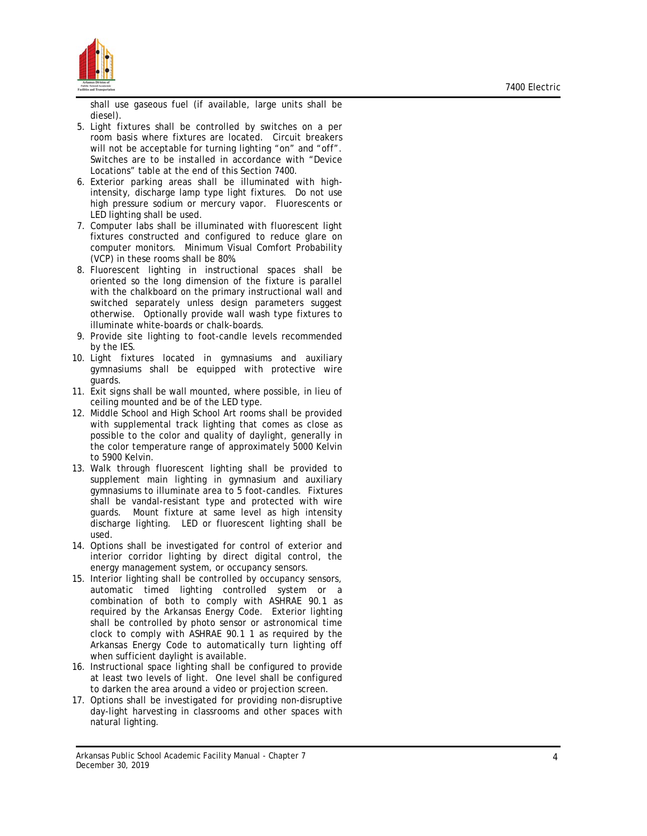

shall use gaseous fuel (if available, large units shall be diesel).

- 5. Light fixtures shall be controlled by switches on a per room basis where fixtures are located. Circuit breakers will not be acceptable for turning lighting "on" and "off". Switches are to be installed in accordance with "Device Locations" table at the end of this Section 7400.
- 6. Exterior parking areas shall be illuminated with high intensity, discharge lamp type light fixtures. Do not use high pressure sodium or mercury vapor. Fluorescents or
- LED lighting shall be used.<br>7. Computer labs shall be illuminated with fluorescent light fixtures constructed and configured to reduce glare on computer monitors. Minimum Visual Comfort Probability (VCP) in these rooms shall be 80%.
- 8. Fluorescent lighting in instructional spaces shall be oriented so the long dimension of the fixture is parallel with the chalkboard on the primary instructional wall and switched separately unless design parameters suggest otherwise. Optionally provide wall wash type fixtures to illuminate white -boards or chalk-boards.
- 9. Provide site lighting to foot -candle levels recommended by the IES.
- 10. Light fixtures located in gymnasiums and auxiliary gymnasiums shall be equipped with protective wire guards.
- 11. Exit signs shall be wall mounted, where possible, in lieu of ceiling mounted and be of the LED type .
- 12. Middle School and High School Art rooms shall be provided with supplemental track lighting that comes as close as possible to the color and quality of daylight, generally in the color temperature range of approximately 5000 Kelvin to 5900 Kelvin.
- 13. Walk through fluorescent lighting shall be provided to supplement main lighting in gymnasium and auxiliary gymnasiums to illuminate area to 5 foot -candles. Fixtures shall be vandal -resistant type and protected with wire guards. Mount fixture at same level as high intensity discharge lighting. LED or fluorescent lighting shall be used.
- 14. Options shall be investigated for control of exterior and interior corridor lighting by direct digital control, the energy management system, or occupancy sensors.
- 15. Interior lighting shall be controlled by occupancy sensors, automatic timed lighting controlled system or a combination of both to comply with ASHRAE 90.1 as required by the Arkansas Energy Code. Exterior lighting shall be controlled by photo sensor or astronomical time clock to comply with ASHRAE 90.1 1 as required by the Arkansas Energy Code to automatically turn lighting off when sufficient daylight is available.
- 16. Instructional space lighting shall be configured to provide at least two levels of light. One level shall be configured to darken the area around a video or projection screen.
- 17. Options shall be investigated for providing non -disruptive day-light harvesting in classrooms and other spaces with natural lighting.

Arkansas Public School Academic Facility Manual - Chapter 7 December 30, 2019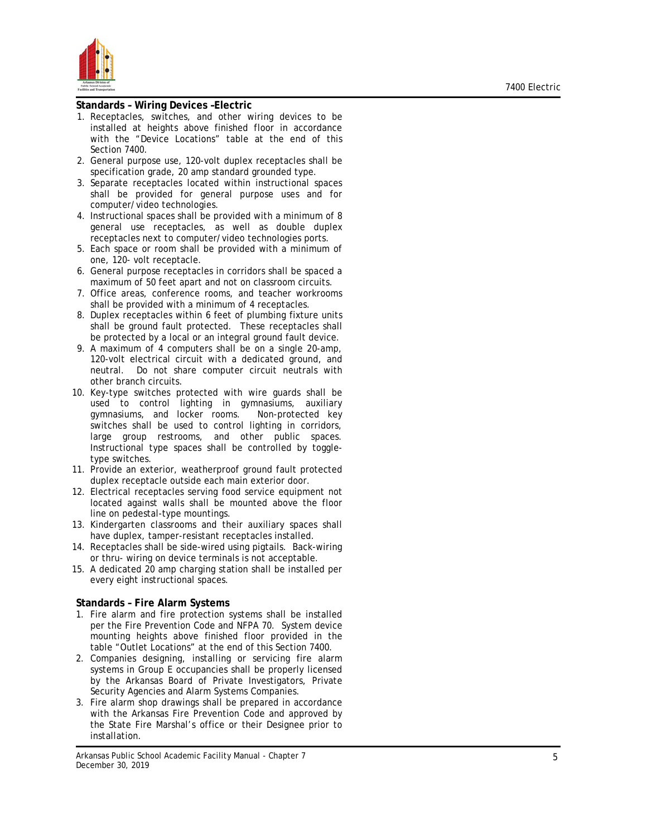

#### **Standards – Wiring Devices –Electric**

- 1. Receptacles, switches, and other wiring devices to be installed at heights above finished floor in accordance with the "Device Locations" table at the end of this Section 7400.
- 2. General purpose use, 120-volt duplex receptacles shall be specification grade, 20 amp standard grounded type .
- 3. Separate receptacles located within instructional spaces shall be provided for general purpose uses and for computer/video technologies.
- 4. Instructional spaces shall be provided with a minimum of 8 general use receptacles, as well as double duplex receptacles next to computer/video technologies ports.
- 5. Each space or room shall be provided with a minimum of one, 120- volt receptacle .
- 6. General purpose receptacles in corridors shall be spaced a maximum of 50 feet apart and not on classroom circuits.
- 7. Office areas, conference rooms, and teacher workrooms shall be provided with a minimum of 4 receptacles.
- 8. Duplex receptacles within 6 feet of plumbing fixture units shall be ground fault protected. These receptacles shall be protected by a local or an integral ground fault device.
- 9. A maximum of 4 computers shall be on a single 20-amp, 120-volt electrical circuit with a dedicated ground, and neutral. Do not share computer circuit neutrals with other branch circuits.
- 10. Key-type switches protected with wire guards shall be used to control lighting in gymnasiums, auxiliary gymnasiums, and locker rooms. Non-protected key switches shall be used to control lighting in corridors, large group restrooms, and other public spaces. Instructional type spaces shall be controlled by toggle type switches.
- 11. Provide an exterior, weatherproof ground fault protected duplex receptacle outside each main exterior door .
- 12. Electrical receptacles serving food service equipment not located against walls shall be mounted above the floor line on pedestal -type mountings.
- 13. Kindergarten classrooms and their auxiliary spaces shall have duplex, tamper -resistant receptacles installed .
- 14. Receptacles shall be side -wired using pigtails. Back-wiring or thru - wiring on device terminals is not acceptable.
- 15. A dedicated 20 amp charging station shall be installed per every eight instructional spaces.

#### **Standards – Fire Alarm Systems**

- 1. Fire alarm and fire protection systems shall be installed per the Fire Prevention Code and NFPA 70. System device mounting heights above finished floor provided in the table "Outlet Locations" at the end of this Section 7400.
- 2. Companies designing, installing or servicing fire alarm systems in Group E occupancies shall be properly licensed by the Arkansas Board of Private Investigators, Private Security Agencies and Alarm Systems Companies.
- 3. Fire alarm shop drawings shall be prepared in accordance with the Arkansas Fire Prevention Code and approved by the State Fire Marshal's office or their Designee prior to installation .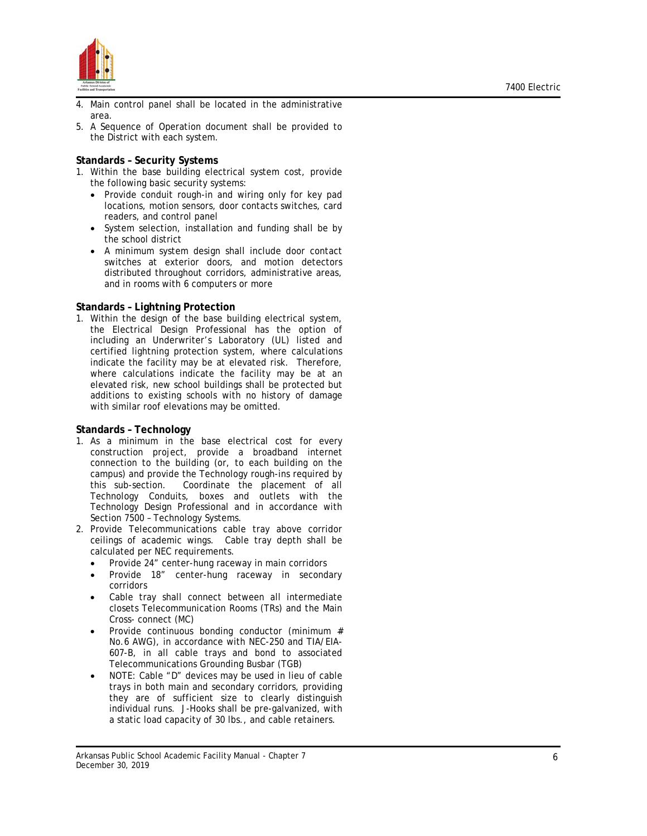

- 4. Main control panel shall be located in the administrative area.
- 5. A Sequence of Operation document shall be provided to the District with each system.

#### **Standards – Security Systems**

- 1. Within the base building electrical system cost, provide the following basic security systems:
	- Provide conduit rough-in and wiring only for key pad locations, motion sensors, door contacts switches, card readers, and control panel
	- System selection, installation and funding shall be by the school district
	- A minimum system design shall include door contact switches at exterior doors, and motion detectors distributed throughout corridors, administrative areas, and in rooms with 6 computers or more

#### **Standards – Lightning Protection**

1. Within the design of the base building electrical system, the Electrical Design Professional has the option of including an Underwriter's Laboratory (UL) listed and certified lightning protection system, where calculations indicate the facility may be at elevated risk. Therefore, where calculations indicate the facility may be at an elevated risk, new school buildings shall be protected but additions to existing schools with no history of damage with similar roof elevations may be omitted.

#### **Standards – Technology**

- 1. As a minimum in the base electrical cost for every construction project, provide a broadband internet connection to the building (or, to each building on the campus) and provide the Technology rough -ins required by this sub-section. Coordinate the placement of all Technology Conduits, boxes and outlets with the Technology Design Professional and in accordance with Section 7500 – Technology Systems.
- 2. Provide Telecommunications cable tray above corridor ceilings of academic wings. Cable tray depth shall be calculated per NEC requirements.
	- Provide 24" center-hung raceway in main corridors
	- Provide 18" center-hung raceway in secondary corridors
	- Cable tray shall connect between all intermediate closets Telecommunication Rooms (TRs) and the Main Cross- connect (MC)
	- Provide continuous bonding conductor (minimum # No.6 AWG), in accordance with NEC-250 and TIA/EIA-607-B, in all cable trays and bond to associated Telecommunications Grounding Busbar (TGB)
	- NOTE: Cable "D" devices may be used in lieu of cable trays in both main and secondary corridors, providing they are of sufficient size to clearly distinguish individual runs. J -Hooks shall be pre -galvanized , with a static load capacity of 30 lbs. , and cable retainers.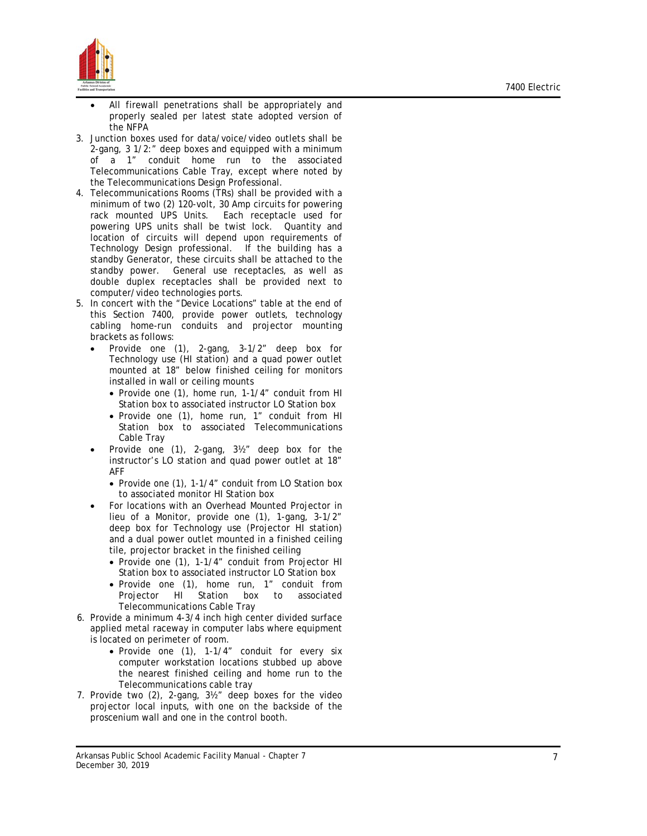

- All firewall penetrations shall be appropriately and properly sealed per latest state adopted version of the NFPA
- 3. Junction boxes used for data/voice/video outlets shall be 2-gang, 3 1/2:" deep boxes and equipped with a minimum of a 1" conduit home run to the associated Telecommunications Cable Tray, except where noted by the Telecommunications Design Professional .
- 4. Telecommunications Rooms (TRs) shall be provided with a minimum of two (2) 120-volt, 30 Amp circuits for powering rack mounted UPS Units. Each receptacle used for powering UPS units shall be twist lock. Quantity and location of circuits will depend upon requirements of Technology Design professional. If the building has a standby Generator, these circuits shall be attached to the standby power. General use receptacles, as well as double duplex receptacles shall be provided next to computer/video technologies ports.
- 5. In concert with the "Device Locations" table at the end of this Section 7400, provide power outlets, technology cabling home -run conduits and projector mounting brackets as follows:
	- Provide one (1), 2-gang, 3-1/2" deep box for Technology use (HI station) and a quad power outlet mounted at 18" below finished ceiling for monitors installed in wall or ceiling mounts
		- Provide one (1), home run, 1-1/4" conduit from HI Station box to associated instructor LO Station box
		- Provide one (1), home run, 1" conduit from HI Station box to associated Telecommunications Cable Tray
	- Provide one (1) , 2-gang, 3½" deep box for the instructor's LO station and quad power outlet at 18" AFF
		- Provide one (1) , 1 -1/4" conduit from LO Station box to associated monitor HI Station box
	- For locations with an Overhead Mounted Projector in lieu of a Monitor, provide one (1), 1 -gang, 3-1/2" deep box for Technology use (Projector HI station) and a dual power outlet mounted in a finished ceiling tile, projector bracket in the finished ceiling
		- Provide one (1), 1-1/4" conduit from Projector HI Station box to associated instructor LO Station box
		- Provide one (1), home run, 1" conduit from Projector HI Station box to associated Telecommunications Cable Tray
- 6. Provide a minimum 4-3/4 inch high center divided surface applied metal raceway in computer labs where equipment is located on perimeter of room.
	- Provide one (1), 1-1/4" conduit for every six computer workstation locations stubbed up above the nearest finished ceiling and home run to the Telecommunications cable tray
- 7. Provide two (2) , 2-gang, 3½" deep boxes for the video projector local inputs, with one on the backside of the proscenium wall and one in the control booth .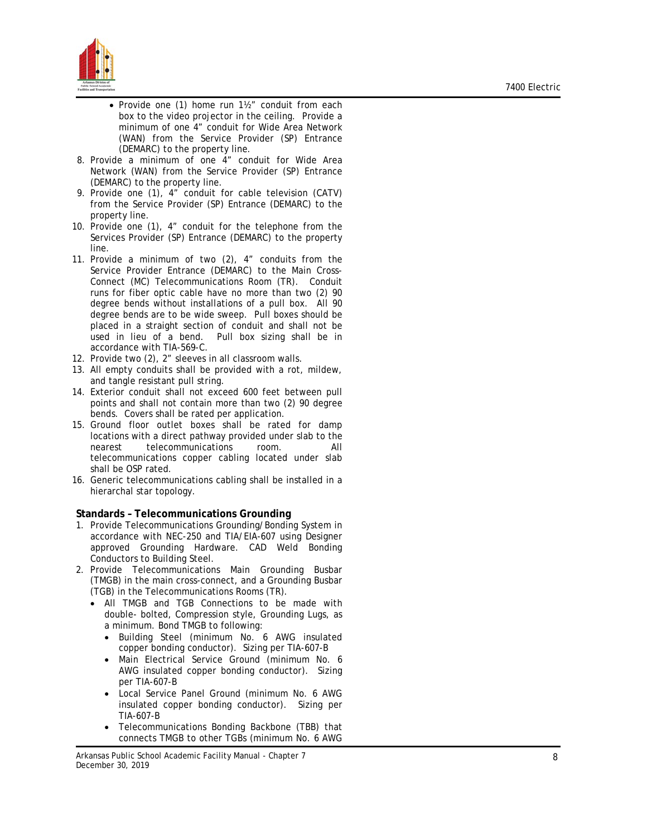

- Provide one (1) home run 1½" conduit from each box to the video projector in the ceiling. Provide a minimum of one 4" conduit for Wide Area Network (WAN) from the Service Provider (SP) Entrance (DEMARC) to the property line.
- 8. Provide a minimum of one 4" conduit for Wide Area Network (WAN) from the Service Provider (SP) Entrance (DEMARC) to the property line .
- 9. Provide one (1), 4" conduit for cable television (CATV) from the Service Provider (SP) Entrance (DEMARC) to the property line .
- 10. Provide one (1), 4" conduit for the telephone from the Services Provider (SP) Entrance (DEMARC) to the property line .
- 11. Provide a minimum of two (2), 4" conduits from the Service Provider Entrance (DEMARC) to the Main Cross-Connect (MC) Telecommunications Room (TR). Conduit runs for fiber optic cable have no more than two (2) 90 degree bends without installations of a pull box. All 90 degree bends are to be wide sweep. Pull boxes should be placed in a straight section of conduit and shall not be used in lieu of a bend. Pull box sizing shall be in accordance with TIA-569-C.
- 12. Provide two (2), 2" sleeves in all classroom walls.
- 13. All empty conduits shall be provided with a rot, mildew, and tangle resistant pull string.
- 14. Exterior conduit shall not exceed 600 feet between pull points and shall not contain more than two (2) 90 degree bends. Covers shall be rated per application.
- 15. Ground floor outlet boxes shall be rated for damp locations with a direct pathway provided under slab to the nearest telecommunications room. All telecommunications copper cabling located under slab shall be OSP rated.
- 16. Generic telecommunications cabling shall be installed in a hierarchal star topology.

#### **Standards – Telecommunications Grounding**

- 1. Provide Telecommunications Grounding/Bonding System in accordance with NEC-250 and TIA/EIA-607 using Designer approved Grounding Hardware. CAD Weld Bonding Conductors to Building Steel .
- 2. Provide Telecommunications Main Grounding Busbar (TMGB) in the main cross-connect, and a Grounding Busbar (TGB) in the Telecommunications Rooms (TR) .
	- All TMGB and TGB Connections to be made with double - bolted, Compression style, Grounding Lugs, as a minimum. Bond TMGB to following:
		- Building Steel (minimum No. 6 AWG insulated copper bonding conductor). Sizing per TIA-607- B
		- Main Electrical Service Ground (minimum No. 6 AWG insulated copper bonding conductor). Sizing per TIA-607- B
		- Local Service Panel Ground (minimum No. 6 AWG insulated copper bonding conductor). Sizing per TIA-607- B
		- Telecommunications Bonding Backbone (TBB) that connects TMGB to other TGBs (minimum No. 6 AWG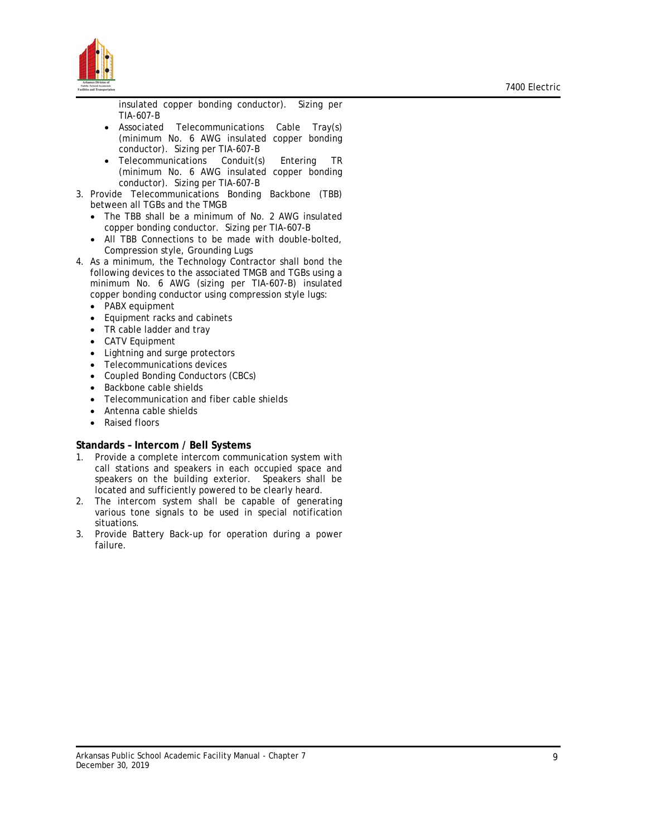

insulated copper bonding conductor). Sizing per TIA-607-B

- Associated Telecommunications Cable Tray(s) (minimum No. 6 AWG insulated copper bonding conductor). Sizing per TIA-607-B
- Telecommunications Conduit(s) Entering TR (minimum No. 6 AWG insulated copper bonding conductor). Sizing per TIA-607-B
- 3. Provide Telecommunications Bonding Backbone (TBB) between all TGBs and the TMGB
	- The TBB shall be a minimum of No. 2 AWG insulated copper bonding conductor. Sizing per TIA-607-B
	- All TBB Connections to be made with double-bolted, Compression style, Grounding Lugs
- 4. As a minimum, the Technology Contractor shall bond the following devices to the associated TMGB and TGBs using a minimum No. 6 AWG (sizing per TIA-607-B) insulated copper bonding conductor using compression style lugs:
	- PABX equipment
	- Equipment racks and cabinets
	- TR cable ladder and tray
	- CATV Equipment
	- Lightning and surge protectors
	- Telecommunications devices
	- Coupled Bonding Conductors (CBCs)
	- Backbone cable shields
	- Telecommunication and fiber cable shields
	- Antenna cable shields
	- Raised floors

#### **Standards – Intercom / Bell Systems**

- 1. Provide a complete intercom communication system with call stations and speakers in each occupied space and speakers on the building exterior. Speakers shall be located and sufficiently powered to be clearly heard.
- 2. The intercom system shall be capable of generating various tone signals to be used in special notification situations.
- 3. Provide Battery Back-up for operation during a power failure.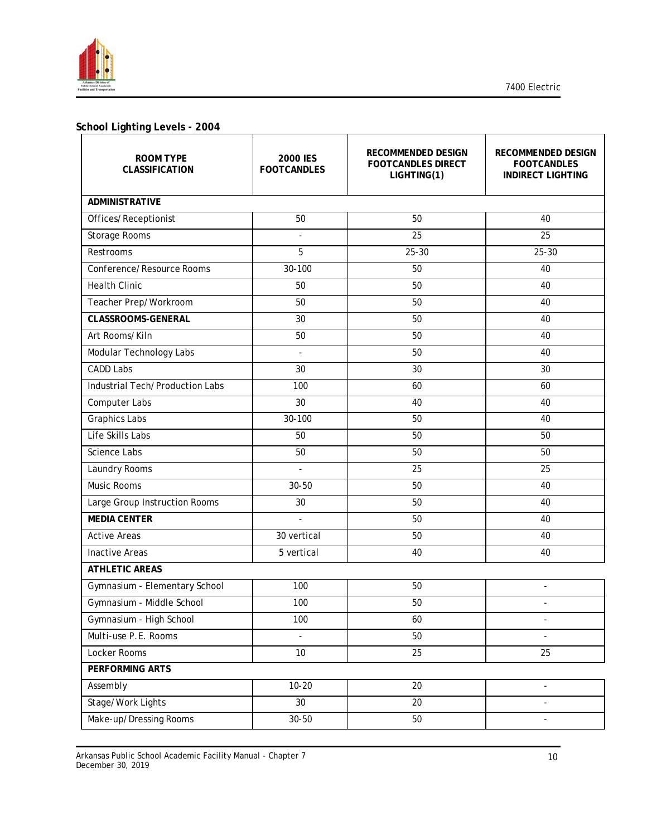

# **School Lighting Levels - 2004**

| <b>ROOM TYPE</b><br>CLASSIFICATION | <b>2000 IES</b><br><b>FOOTCANDLES</b> | RECOMMENDED DESIGN<br><b>FOOTCANDLES DIRECT</b><br>LIGHTING(1) | RECOMMENDED DESIGN<br><b>FOOTCANDLES</b><br><b>INDIRECT LIGHTING</b> |
|------------------------------------|---------------------------------------|----------------------------------------------------------------|----------------------------------------------------------------------|
| <b>ADMINISTRATIVE</b>              |                                       |                                                                |                                                                      |
| Offices/Receptionist               | 50                                    | 50                                                             | 40                                                                   |
| Storage Rooms                      | $\overline{a}$                        | 25                                                             | 25                                                                   |
| Restrooms                          | 5                                     | $25 - 30$                                                      | $25 - 30$                                                            |
| Conference/Resource Rooms          | 30-100                                | 50                                                             | 40                                                                   |
| <b>Health Clinic</b>               | 50                                    | 50                                                             | 40                                                                   |
| Teacher Prep/Workroom              | 50                                    | 50                                                             | 40                                                                   |
| <b>CLASSROOMS-GENERAL</b>          | 30                                    | 50                                                             | 40                                                                   |
| Art Rooms/Kiln                     | 50                                    | 50                                                             | 40                                                                   |
| Modular Technology Labs            | $\blacksquare$                        | 50                                                             | 40                                                                   |
| <b>CADD Labs</b>                   | 30                                    | 30                                                             | 30                                                                   |
| Industrial Tech/Production Labs    | 100                                   | 60                                                             | 60                                                                   |
| Computer Labs                      | 30                                    | 40                                                             | 40                                                                   |
| <b>Graphics Labs</b>               | 30-100                                | 50                                                             | 40                                                                   |
| Life Skills Labs                   | 50                                    | 50                                                             | 50                                                                   |
| <b>Science Labs</b>                | 50                                    | 50                                                             | 50                                                                   |
| Laundry Rooms                      | ÷,                                    | 25                                                             | 25                                                                   |
| <b>Music Rooms</b>                 | 30-50                                 | 50                                                             | 40                                                                   |
| Large Group Instruction Rooms      | 30                                    | 50                                                             | 40                                                                   |
| <b>MEDIA CENTER</b>                | ÷,                                    | 50                                                             | 40                                                                   |
| <b>Active Areas</b>                | 30 vertical                           | 50                                                             | 40                                                                   |
| <b>Inactive Areas</b>              | 5 vertical                            | 40                                                             | 40                                                                   |
| <b>ATHLETIC AREAS</b>              |                                       |                                                                |                                                                      |
| Gymnasium - Elementary School      | 100                                   | 50                                                             |                                                                      |
| Gymnasium - Middle School          | 100                                   | 50                                                             |                                                                      |
| Gymnasium - High School            | 100                                   | 60                                                             | $\overline{\phantom{a}}$                                             |
| Multi-use P.E. Rooms               | L.                                    | 50                                                             |                                                                      |
| Locker Rooms                       | 10                                    | 25                                                             | 25                                                                   |
| PERFORMING ARTS                    |                                       |                                                                |                                                                      |
| Assembly                           | $10 - 20$                             | 20                                                             | $\overline{\phantom{a}}$                                             |
| Stage/Work Lights                  | $30\,$                                | 20                                                             | $\overline{\phantom{a}}$                                             |
| Make-up/Dressing Rooms             | 30-50                                 | 50                                                             |                                                                      |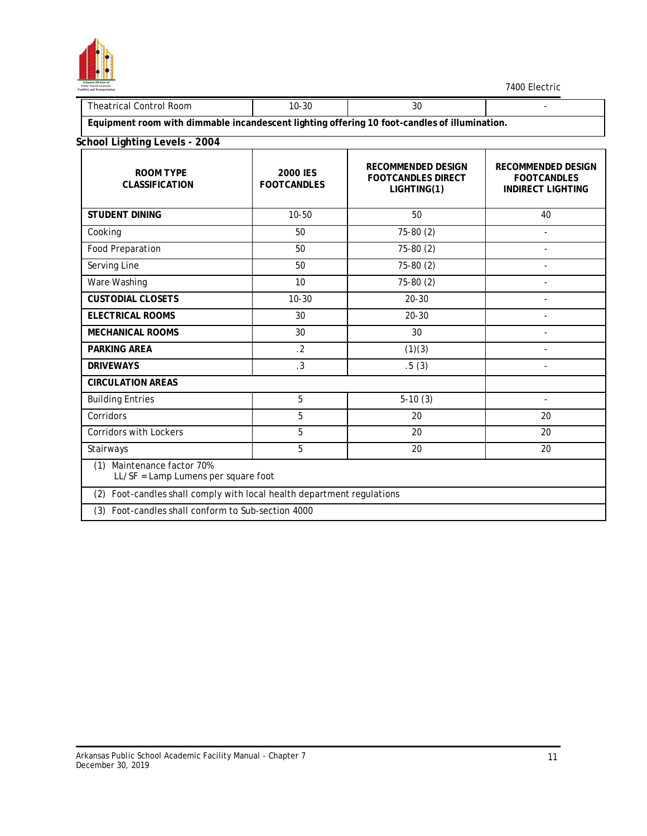

| $\overline{\phantom{a}}$          | $\sim$     |            |  |
|-----------------------------------|------------|------------|--|
| ∴ontrol '<br>Room<br>ne.<br>it.al | ີ C<br>∙ა∪ | יז ה<br>3U |  |
|                                   | .          |            |  |

**Equipment room with dimmable incandescent lighting offering 10 foot-candles of illumination.**

# **School Lighting Levels - 2004**

| <b>ROOM TYPE</b><br><b>CLASSIFICATION</b>                              | <b>2000 IES</b><br><b>FOOTCANDLES</b> | <b>RECOMMENDED DESIGN</b><br><b>FOOTCANDLES DIRECT</b><br>LIGHTING(1) | <b>RECOMMENDED DESIGN</b><br><b>FOOTCANDLES</b><br><b>INDIRECT LIGHTING</b> |  |  |
|------------------------------------------------------------------------|---------------------------------------|-----------------------------------------------------------------------|-----------------------------------------------------------------------------|--|--|
| <b>STUDENT DINING</b>                                                  | $10 - 50$                             | 50                                                                    | 40                                                                          |  |  |
| Cooking                                                                | 50                                    | $75-80(2)$                                                            |                                                                             |  |  |
| <b>Food Preparation</b>                                                | 50                                    | 75-80 (2)                                                             | $\overline{a}$                                                              |  |  |
| Serving Line                                                           | 50                                    | 75-80 (2)                                                             | ÷                                                                           |  |  |
| Ware Washing                                                           | 10                                    | 75-80 (2)                                                             | ÷,                                                                          |  |  |
| <b>CUSTODIAL CLOSETS</b>                                               | $10 - 30$                             | $20 - 30$                                                             | $\overline{a}$                                                              |  |  |
| <b>ELECTRICAL ROOMS</b>                                                | 30                                    | $20 - 30$                                                             | $\overline{\phantom{a}}$                                                    |  |  |
| <b>MECHANICAL ROOMS</b>                                                | 30                                    | 30                                                                    |                                                                             |  |  |
| <b>PARKING AREA</b>                                                    | $\cdot$ 2                             | (1)(3)                                                                |                                                                             |  |  |
| <b>DRIVEWAYS</b>                                                       | $\cdot$ 3                             | .5(3)                                                                 | $\overline{\phantom{a}}$                                                    |  |  |
| <b>CIRCULATION AREAS</b>                                               |                                       |                                                                       |                                                                             |  |  |
| <b>Building Entries</b>                                                | 5                                     | $5-10(3)$                                                             | ÷                                                                           |  |  |
| Corridors                                                              | 5                                     | 20                                                                    | 20                                                                          |  |  |
| <b>Corridors with Lockers</b>                                          | 5                                     | 20                                                                    | 20                                                                          |  |  |
| Stairways                                                              | 5                                     | 20                                                                    | 20                                                                          |  |  |
| Maintenance factor 70%<br>(1)<br>LL/SF = Lamp Lumens per square foot   |                                       |                                                                       |                                                                             |  |  |
| (2) Foot-candles shall comply with local health department regulations |                                       |                                                                       |                                                                             |  |  |
| (3) Foot-candles shall conform to Sub-section 4000                     |                                       |                                                                       |                                                                             |  |  |